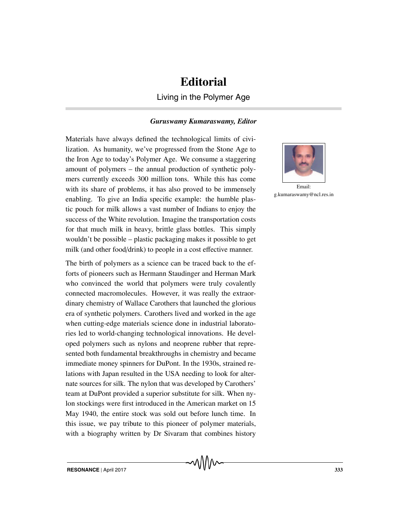## **Editorial**

Living in the Polymer Age

## *Guruswamy Kumaraswamy, Editor*

Materials have always defined the technological limits of civilization. As humanity, we've progressed from the Stone Age to the Iron Age to today's Polymer Age. We consume a staggering amount of polymers – the annual production of synthetic polymers currently exceeds 300 million tons. While this has come with its share of problems, it has also proved to be immensely enabling. To give an India specific example: the humble plastic pouch for milk allows a vast number of Indians to enjoy the success of the White revolution. Imagine the transportation costs for that much milk in heavy, brittle glass bottles. This simply wouldn't be possible – plastic packaging makes it possible to get milk (and other food/drink) to people in a cost effective manner.

The birth of polymers as a science can be traced back to the efforts of pioneers such as Hermann Staudinger and Herman Mark who convinced the world that polymers were truly covalently connected macromolecules. However, it was really the extraordinary chemistry of Wallace Carothers that launched the glorious era of synthetic polymers. Carothers lived and worked in the age when cutting-edge materials science done in industrial laboratories led to world-changing technological innovations. He developed polymers such as nylons and neoprene rubber that represented both fundamental breakthroughs in chemistry and became immediate money spinners for DuPont. In the 1930s, strained relations with Japan resulted in the USA needing to look for alternate sources for silk. The nylon that was developed by Carothers' team at DuPont provided a superior substitute for silk. When nylon stockings were first introduced in the American market on 15 May 1940, the entire stock was sold out before lunch time. In this issue, we pay tribute to this pioneer of polymer materials, with a biography written by Dr Sivaram that combines history



Email: g.kumaraswamy@ncl.res.in